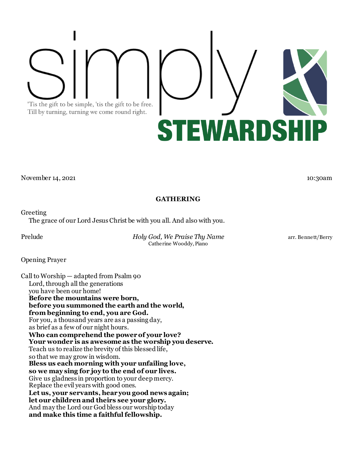'Tis the gift to be simple, 'tis the gift to be free. Till by turning, turning we come round right.

Greeting

The grace of our Lord Jesus Christ be with you all. And also with you.

Prelude *Holy God, We Praise Thy Name* arr. Bennett/Berry Catherine Wooddy, Piano

**GATHERING**

Opening Prayer

Call to Worship — adapted from Psalm 90 Lord, through all the generations you have been our home! **Before the mountains were born, before you summoned the earth and the world, from beginning to end, you are God.** For you, a thousand years are as a passing day, as brief as a few of our night hours. **Who can comprehend the power of your love? Your wonder is as awesome as the worship you deserve.** Teach us to realize the brevity of this blessed life, so that we may grow in wisdom. **Bless us each morning with your unfailing love, so we may sing for joy to the end of our lives.** Give us gladness in proportion to your deep mercy. Replace the evil years with good ones. **Let us, your servants, hear you good news again; let our children and theirs see your glory.** And may the Lord our God bless our worship today **and make this time a faithful fellowship.**

November 14, 2021 10:30am



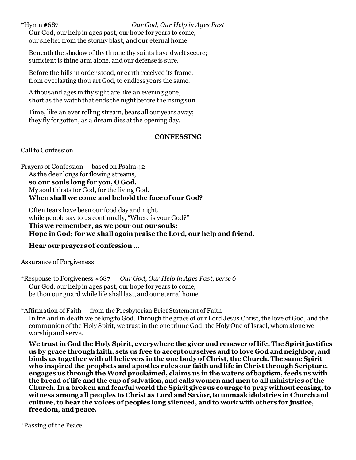# \*Hymn #687 *Our God, Our Help in Ages Past*

Our God, our help in ages past, our hope for years to come, our shelter from the stormy blast, and our eternal home:

Beneath the shadow of thy throne thy saints have dwelt secure; sufficient is thine arm alone, and our defense is sure.

Before the hills in order stood, or earth received its frame, from everlasting thou art God, to endless years the same.

A thousand ages in thy sight are like an evening gone, short as the watch that ends the night before the rising sun.

Time, like an ever rolling stream, bears all our years away; they fly forgotten, as a dream dies at the opening day.

## **CONFESSING**

Call to Confession

Prayers of Confession — based on Psalm 42 As the deer longs for flowing streams, **so our souls long for you, O God.** My soul thirsts for God, for the living God. **When shall we come and behold the face of our God?**

Often tears have been our food day and night, while people say to us continually, "Where is your God?" **This we remember, as we pour out our souls: Hope in God; for we shall again praise the Lord, our help and friend.**

# **Hear our prayers of confession …**

Assurance of Forgiveness

\*Response to Forgiveness #687 *Our God, Our Help in Ages Past, verse 6* Our God, our help in ages past, our hope for years to come, be thou our guard while life shall last, and our eternal home.

\*Affirmation of Faith — from the Presbyterian Brief Statement of Faith In life and in death we belong to God. Through the grace of our Lord Jesus Christ, the love of God, and the communion of the Holy Spirit, we trust in the one triune God, the Holy One of Israel, whom alone we worship and serve.

**We trust in God the Holy Spirit, everywhere the giver and renewer of life. The Spirit justifies us by grace through faith, sets us free to accept ourselves and to love God and neighbor, and binds us together with all believers in the one body of Christ, the Church. The same Spirit who inspired the prophets and apostles rules our faith and life in Christ through Scripture, engages us through the Word proclaimed, claims us in the waters of baptism, feeds us with the bread of life and the cup of salvation, and calls women and men to all ministries of the Church. In a broken and fearful world the Spirit gives us courage to pray without ceasing, to witness among all peoples to Christ as Lord and Savior, to unmask idolatries in Church and culture, to hear the voices of peoples long silenced, and to work with others for justice, freedom, and peace.**

\*Passing of the Peace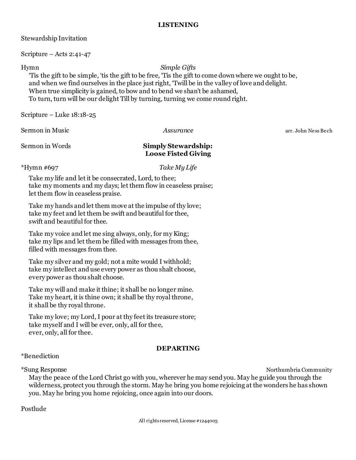# **LISTENING**

| Stewardship Invitation |  |
|------------------------|--|
|------------------------|--|

Scripture – Acts 2:41-47

# Hymn *Simple Gifts*

'Tis the gift to be simple, 'tis the gift to be free, 'Tis the gift to come down where we ought to be, and when we find ourselves in the place just right, 'Twill be in the valley of love and delight. When true simplicity is gained, to bow and to bend we shan't be ashamed, To turn, turn will be our delight Till by turning, turning we come round right.

Scripture – Luke 18:18-25

Sermon in Music *Assurance Assurance* arr. John Ness Bech

# Sermon in Words **Simply Stewardship: Loose Fisted Giving**

\*Hymn #697 *Take My Life*

Take my life and let it be consecrated, Lord, to thee; take my moments and my days; let them flow in ceaseless praise; let them flow in ceaseless praise.

Take my hands and let them move at the impulse of thy love; take my feet and let them be swift and beautiful for thee, swift and beautiful for thee.

Take my voice and let me sing always, only, for my King; take my lips and let them be filled with messages from thee, filled with messages from thee.

Take my silver and my gold; not a mite would I withhold; take my intellect and use every power as thou shalt choose, every power as thou shalt choose.

Take my will and make it thine; it shall be no longer mine. Take my heart, it is thine own; it shall be thy royal throne, it shall be thy royal throne.

Take my love; my Lord, I pour at thy feet its treasure store; take myself and I will be ever, only, all for thee, ever, only, all for thee.

# **DEPARTING**

\*Benediction

\*Sung Response Northumbria Community

May the peace of the Lord Christ go with you, wherever he may send you. May he guide you through the wilderness, protect you through the storm. May he bring you home rejoicing at the wonders he has shown you. May he bring you home rejoicing, once again into our doors.

Postlude